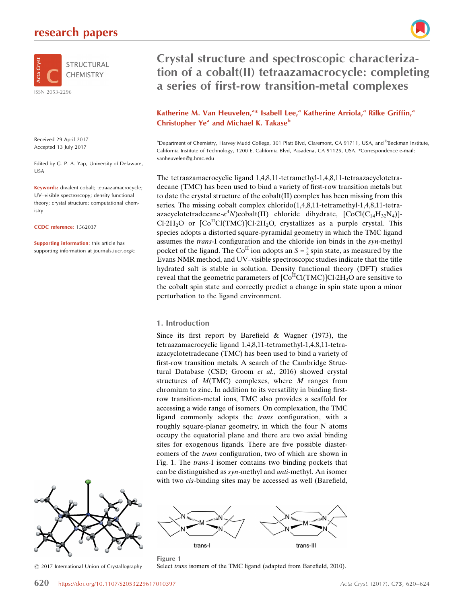# research papers



Received 29 April 2017 Accepted 13 July 2017

Edited by G. P. A. Yap, University of Delaware, USA

Keywords: divalent cobalt; tetraazamacrocycle; UV–visible spectroscopy; density functional theory; crystal structure; computational chemistry.

CCDC reference: 1562037

Supporting information: this article has supporting information at journals.iucr.org/c



 $\circled{c}$  2017 International Union of Crystallography

Crystal structure and spectroscopic characterization of a cobalt(II) tetraazamacrocycle: completing a series of first-row transition-metal complexes

# Katherine M. Van Heuvelen,<sup>a\*</sup> Isabell Lee,<sup>a</sup> Katherine Arriola,<sup>a</sup> Rilke Griffin,<sup>a</sup> Christopher Ye<sup>a</sup> and Michael K. Takase<sup>b</sup>

<sup>a</sup> Department of Chemistry, Harvey Mudd College, 301 Platt Blvd, Claremont, CA 91711, USA, and <sup>b</sup> Beckman Institute, California Institute of Technology, 1200 E. California Blvd, Pasadena, CA 91125, USA. \*Correspondence e-mail: vanheuvelen@g.hmc.edu

The tetraazamacrocyclic ligand 1,4,8,11-tetramethyl-1,4,8,11-tetraazacyclotetradecane (TMC) has been used to bind a variety of first-row transition metals but to date the crystal structure of the cobalt(II) complex has been missing from this series. The missing cobalt complex chlorido(1,4,8,11-tetramethyl-1,4,8,11-tetraazacyclotetradecane- $\kappa^4 N$ )cobalt(II) chloride dihydrate, [CoCl(C<sub>14</sub>H<sub>32</sub>N<sub>4</sub>)]-Cl-2H<sub>2</sub>O or  $[Co<sup>H</sup>Cl(TMC)]Cl·2H<sub>2</sub>O$ , crystallizes as a purple crystal. This species adopts a distorted square-pyramidal geometry in which the TMC ligand assumes the trans-I configuration and the chloride ion binds in the syn-methyl pocket of the ligand. The Co<sup>II</sup> ion adopts an  $S = \frac{3}{2}$  spin state, as measured by the Evans NMR method, and UV–visible spectroscopic studies indicate that the title hydrated salt is stable in solution. Density functional theory (DFT) studies reveal that the geometric parameters of  $\text{[Co}^{\text{II}}\text{Cl}(\text{TMC})\text{]}$ Cl-2H<sub>2</sub>O are sensitive to the cobalt spin state and correctly predict a change in spin state upon a minor perturbation to the ligand environment.

#### 1. Introduction

Since its first report by Barefield & Wagner (1973), the tetraazamacrocyclic ligand 1,4,8,11-tetramethyl-1,4,8,11-tetraazacyclotetradecane (TMC) has been used to bind a variety of first-row transition metals. A search of the Cambridge Structural Database (CSD; Groom et al., 2016) showed crystal structures of  $M(TMC)$  complexes, where  $M$  ranges from chromium to zinc. In addition to its versatility in binding firstrow transition-metal ions, TMC also provides a scaffold for accessing a wide range of isomers. On complexation, the TMC ligand commonly adopts the trans configuration, with a roughly square-planar geometry, in which the four N atoms occupy the equatorial plane and there are two axial binding sites for exogenous ligands. There are five possible diastereomers of the trans configuration, two of which are shown in Fig. 1. The trans-I isomer contains two binding pockets that can be distinguished as syn-methyl and anti-methyl. An isomer with two *cis*-binding sites may be accessed as well (Barefield,



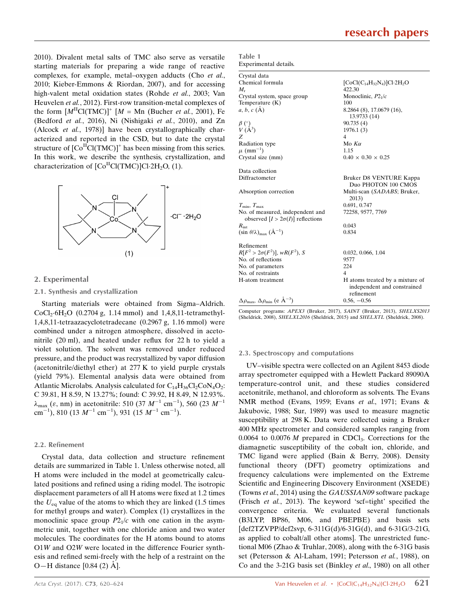2010). Divalent metal salts of TMC also serve as versatile starting materials for preparing a wide range of reactive complexes, for example, metal–oxygen adducts (Cho et al., 2010; Kieber-Emmons & Riordan, 2007), and for accessing high-valent metal oxidation states (Rohde et al., 2003; Van Heuvelen et al., 2012). First-row transition-metal complexes of the form  $[M<sup>H</sup>Cl(TMC)]^+$   $[M = Mn$  (Bucher *et al.*, 2001), Fe (Bedford et al., 2016), Ni (Nishigaki et al., 2010), and Zn (Alcock et al., 1978)] have been crystallographically characterized and reported in the CSD, but to date the crystal structure of  $[Co<sup>H</sup>Cl(TMC)]<sup>+</sup>$  has been missing from this series. In this work, we describe the synthesis, crystallization, and characterization of  $\text{[Co}^{\text{II}}\text{Cl}(\text{TMC})\text{]}$ Cl·2H<sub>2</sub>O, (1).



#### 2. Experimental

#### 2.1. Synthesis and crystallization

Starting materials were obtained from Sigma–Aldrich.  $CoCl_2·6H_2O$  (0.2704 g, 1.14 mmol) and 1,4,8,11-tetramethyl-1,4,8,11-tetraazacyclotetradecane (0.2967 g, 1.16 mmol) were combined under a nitrogen atmosphere, dissolved in acetonitrile (20 ml), and heated under reflux for 22 h to yield a violet solution. The solvent was removed under reduced pressure, and the product was recrystallized by vapor diffusion (acetonitrile/diethyl ether) at 277 K to yield purple crystals (yield 79%). Elemental analysis data were obtained from Atlantic Microlabs. Analysis calculated for  $C_{14}H_{36}Cl_2CoN_4O_2$ : C 39.81, H 8.59, N 13.27%; found: C 39.92, H 8.49, N 12.93%.  $\lambda_{\text{max}}$  ( $\varepsilon$ , nm) in acetonitrile: 510 (37  $M^{-1}$  cm<sup>-1</sup>), 560 (23  $M^{-1}$  $\text{cm}^{-1}$ ), 810 (13  $M^{-1}$  cm<sup>-1</sup>), 931 (15  $M^{-1}$  cm<sup>-1</sup>).

#### 2.2. Refinement

Crystal data, data collection and structure refinement details are summarized in Table 1. Unless otherwise noted, all H atoms were included in the model at geometrically calculated positions and refined using a riding model. The isotropic displacement parameters of all H atoms were fixed at 1.2 times the  $U_{\text{eq}}$  value of the atoms to which they are linked (1.5 times for methyl groups and water). Complex (1) crystallizes in the monoclinic space group  $P2<sub>1</sub>/c$  with one cation in the asymmetric unit, together with one chloride anion and two water molecules. The coordinates for the H atoms bound to atoms O1W and O2W were located in the difference Fourier synthesis and refined semi-freely with the help of a restraint on the O—H distance  $[0.84 (2)$   $\AA$ ].

| Crystal data<br>Chemical formula<br>$[CoCl(C_{14}H_{32}N_4)]Cl·2H_2O$<br>422.30<br>$M_{r}$<br>Monoclinic, $P2_1/c$<br>Crystal system, space group |  |
|---------------------------------------------------------------------------------------------------------------------------------------------------|--|
|                                                                                                                                                   |  |
|                                                                                                                                                   |  |
|                                                                                                                                                   |  |
|                                                                                                                                                   |  |
| 100<br>Temperature $(K)$                                                                                                                          |  |
| $a, b, c$ (A)<br>8.2864 (8), 17.0679 (16),<br>13.9733 (14)                                                                                        |  |
| 90.735(4)                                                                                                                                         |  |
| $\begin{array}{c} \beta \ (\overset{\circ}{)}{\vee} \\ V \ (\overset{\circ}{A}^3) \end{array}$<br>1976.1(3)                                       |  |
| $\overline{4}$<br>Z                                                                                                                               |  |
| Radiation type<br>Mo $K\alpha$                                                                                                                    |  |
| $\mu$ (mm <sup>-1</sup> )<br>1.15                                                                                                                 |  |
| Crystal size (mm)<br>$0.40 \times 0.30 \times 0.25$                                                                                               |  |
| Data collection                                                                                                                                   |  |
| Diffractometer<br>Bruker D8 VENTURE Kappa<br>Duo PHOTON 100 CMOS                                                                                  |  |
| Multi-scan (SADABS; Bruker,<br>Absorption correction<br>2013)                                                                                     |  |
| 0.691, 0.747<br>$T_{\min}, T_{\max}$                                                                                                              |  |
| No. of measured, independent and<br>72258, 9577, 7769<br>observed $[I > 2\sigma(I)]$ reflections                                                  |  |
| 0.043<br>$R_{\rm int}$                                                                                                                            |  |
| $(\sin \theta/\lambda)_{\text{max}} (\AA^{-1})$<br>0.834                                                                                          |  |
| Refinement                                                                                                                                        |  |
| $R[F^2 > 2\sigma(F^2)], wR(F^2), S$<br>0.032, 0.066, 1.04                                                                                         |  |
| No. of reflections<br>9577                                                                                                                        |  |
| 224<br>No. of parameters                                                                                                                          |  |
| No. of restraints<br>$\overline{4}$                                                                                                               |  |
| H-atom treatment<br>H atoms treated by a mixture of<br>independent and constrained<br>refinement                                                  |  |
| $\Delta \rho_{\text{max}}$ , $\Delta \rho_{\text{min}}$ (e $\AA^{-3}$ )<br>$0.56, -0.56$                                                          |  |

Computer programs: APEX3 (Bruker, 2017), SAINT (Bruker, 2013), SHELXS2013 (Sheldrick, 2008), SHELXL2016 (Sheldrick, 2015) and SHELXTL (Sheldrick, 2008).

#### 2.3. Spectroscopy and computations

Table 1

UV–visible spectra were collected on an Agilent 8453 diode array spectrometer equipped with a Hewlett Packard 89090A temperature-control unit, and these studies considered acetonitrile, methanol, and chloroform as solvents. The Evans NMR method (Evans, 1959; Evans et al., 1971; Evans & Jakubovic, 1988; Sur, 1989) was used to measure magnetic susceptibility at 298 K. Data were collected using a Bruker 400 MHz spectrometer and considered samples ranging from 0.0064 to 0.0076  $M$  prepared in CDCl<sub>3</sub>. Corrections for the diamagnetic susceptibility of the cobalt ion, chloride, and TMC ligand were applied (Bain & Berry, 2008). Density functional theory (DFT) geometry optimizations and frequency calculations were implemented on the Extreme Scientific and Engineering Discovery Environment (XSEDE) (Towns et al., 2014) using the GAUSSIAN09 software package (Frisch et al., 2013). The keyword 'scf=tight' specified the convergence criteria. We evaluated several functionals (B3LYP, BP86, M06, and PBEPBE) and basis sets [def2TZVPP/def2svp, 6-311G(d)/6-31G(d), and 6-31G/3-21G, as applied to cobalt/all other atoms]. The unrestricted functional M06 (Zhao & Truhlar, 2008), along with the 6-31G basis set (Petersson & Al-Laham, 1991; Petersson et al., 1988), on Co and the 3-21G basis set (Binkley et al., 1980) on all other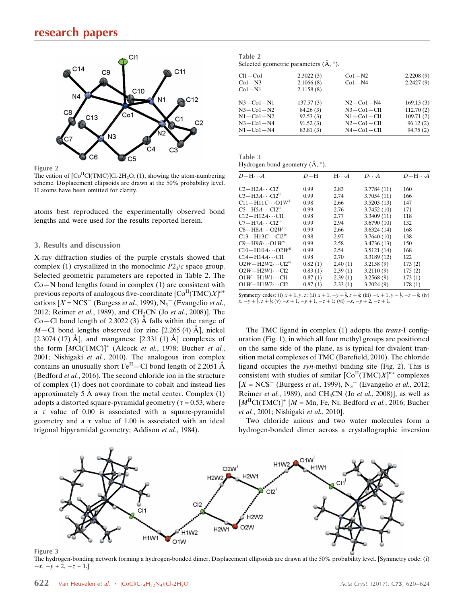

Figure 2

The cation of  $\text{[Co}^{\text{II}}\text{Cl}(\text{TMC})\text{]Cl}\cdot 2\text{H}_2\text{O}$ , (1), showing the atom-numbering scheme. Displacement ellipsoids are drawn at the 50% probability level. H atoms have been omitted for clarity.

atoms best reproduced the experimentally observed bond lengths and were used for the results reported herein.

#### 3. Results and discussion

X-ray diffraction studies of the purple crystals showed that complex (1) crystallized in the monoclinic  $P2<sub>1</sub>/c$  space group. Selected geometric parameters are reported in Table 2. The  $Co-N$  bond lengths found in complex  $(1)$  are consistent with previous reports of analogous five-coordinate  $[\mathrm{Co}^\Pi(\mathrm{TMC})X]^{n+1}$ cations  $[X = NCS^{-1}$  (Burgess *et al.*, 1999),  $N_3$ <sup>-</sup> (Evangelio *et al.*, 2012; Reimer et al., 1989), and CH<sub>3</sub>CN (Jo et al., 2008)]. The Co–Cl bond length of 2.3022 (3)  $\AA$  falls within the range of  $M$ –Cl bond lengths observed for zinc [2.265 (4) Å], nickel [2.3074 (17)  $\AA$ ], and manganese [2.331 (1)  $\AA$ ] complexes of the form  $[MCI(TMC)]^+$  (Alcock et al., 1978; Bucher et al., 2001; Nishigaki et al., 2010). The analogous iron complex contains an unusually short  $\mathrm{Fe}^{\mathrm{II}}$  – Cl bond length of 2.2051 Å (Bedford et al., 2016). The second chloride ion in the structure of complex (1) does not coordinate to cobalt and instead lies approximately 5  $\AA$  away from the metal center. Complex (1) adopts a distorted square-pyramidal geometry ( $\tau$  = 0.53, where a  $\tau$  value of 0.00 is associated with a square-pyramidal geometry and a  $\tau$  value of 1.00 is associated with an ideal trigonal bipyramidal geometry; Addison et al., 1984).

| Table 2                                               |  |
|-------------------------------------------------------|--|
| Selected geometric parameters $(\mathbf{A}, \circ)$ . |  |

| $Cl1 - Co1$     | 2.3022(3) | $Co1-N2$         | 2.2208(9) |
|-----------------|-----------|------------------|-----------|
| $Co1-N3$        | 2.1066(8) | $Co1-N4$         | 2.2427(9) |
| $Co1-N1$        | 2.1158(8) |                  |           |
| $N3 - Co1 - N1$ | 137.57(3) | $N2 - Co1 - N4$  | 169.13(3) |
| $N3 - Co1 - N2$ | 84.26(3)  | $N3 - Co1 - Cl1$ | 112.70(2) |
| $N1 - Co1 - N2$ | 92.53(3)  | $N1 - Co1 - Cl1$ | 109.71(2) |
| $N3 - Co1 - N4$ | 91.52(3)  | $N2 - Co1 - Cl1$ | 96.12(2)  |
| $N1 - Co1 - N4$ | 83.81 (3) | $N4 - Co1 - Cl1$ | 94.75(2)  |
|                 |           |                  |           |

Table 3 Hydrogen-bond geometry  $(\mathring{A}, \degree)$ .

| $D-\mathrm{H}\cdots A$                | $D-H$   | $H \cdot \cdot \cdot A$ | $D\cdot\cdot\cdot A$ | $D-\mathrm{H}\cdots A$ |
|---------------------------------------|---------|-------------------------|----------------------|------------------------|
| $C2-H2A\cdots C12^{1}$                | 0.99    | 2.83                    | 3.7784 (11)          | 160                    |
| $C3 - H3A \cdots C12^n$               | 0.99    | 2.74                    | 3.7054(11)           | 166                    |
| $C11 - H11C \cdots O1W$ <sup>i</sup>  | 0.98    | 2.66                    | 3.5203(13)           | 147                    |
| $C5 - H5A \cdots C12^n$               | 0.99    | 2.76                    | 3.7452(10)           | 171                    |
| $C12 - H12A \cdots C11$               | 0.98    | 2.77                    | 3.3409(11)           | 118                    |
| $C7 - H7A \cdots C12$ <sup>iii</sup>  | 0.99    | 2.94                    | 3.6790(10)           | 132                    |
| $C8 - H8A \cdots O2W^{ii}$            | 0.99    | 2.66                    | 3.6324(14)           | 168                    |
| $C13-H13C\cdots C12IV$                | 0.98    | 2.97                    | 3.7640(10)           | 138                    |
| $C9 - H9B \cdots O1W^v$               | 0.99    | 2.58                    | 3.4736(13)           | 150                    |
| $C10 - H10A \cdots O2W$ <sup>ii</sup> | 0.99    | 2.54                    | 3.5121(14)           | 168                    |
| $C14 - H14A \cdots C11$               | 0.98    | 2.70                    | 3.3189 (12)          | 122                    |
| $O2W - H2W2 \cdots C12^{vi}$          | 0.82(1) | 2.40(1)                 | 3.2158(9)            | 173(2)                 |
| $O2W - H2W1 \cdots C12$               | 0.83(1) | 2.39(1)                 | 3.2110(9)            | 175(2)                 |
| $O1W - H1W1 \cdots C11$               | 0.87(1) | 2.39(1)                 | 3.2568(9)            | 173(1)                 |
| $O1W - H1W2 \cdots C12$               | 0.87(1) | 2.33(1)                 | 3.2024(9)            | 178(1)                 |

Symmetry codes: (i)  $x + 1$ ,  $y$ ,  $z$ ; (ii)  $x + 1$ ,  $-y + \frac{3}{2}$ ,  $z + \frac{1}{2}$ ; (iii)  $-x + 1$ ,  $y - \frac{1}{2}$ ,  $-z + \frac{3}{2}$ ; (iv)  $x, -y + \frac{3}{2}, z + \frac{1}{2}$ ; (v)  $-x + 1, -y + 1, -z + 1$ ; (vi)  $-x, -y + 2, -z + 1$ .

The TMC ligand in complex (1) adopts the trans-I configuration (Fig. 1), in which all four methyl groups are positioned on the same side of the plane, as is typical for divalent transition metal complexes of TMC (Barefield, 2010). The chloride ligand occupies the syn-methyl binding site (Fig. 2). This is consistent with studies of similar  $\left[\text{Co}^{\text{II}}(\text{TMC})X\right]^{n+}$  complexes  $[X = NCS^{-}$  (Burgess et al., 1999),  $N_3$ <sup>-</sup> (Evangelio et al., 2012; Reimer et al., 1989), and CH<sub>3</sub>CN (Jo et al., 2008)], as well as  $[M<sup>II</sup>Cl(TMC)]<sup>+</sup> [M = Mn, Fe, Ni; Bedford *et al.*, 2016; Bucher]$ et al., 2001; Nishigaki et al., 2010].

Two chloride anions and two water molecules form a hydrogen-bonded dimer across a crystallographic inversion



Figure 3

The hydrogen-bonding network forming a hydrogen-bonded dimer. Displacement ellipsoids are drawn at the 50% probability level. [Symmetry code: (i)  $-x, -y + 2, -z + 1.$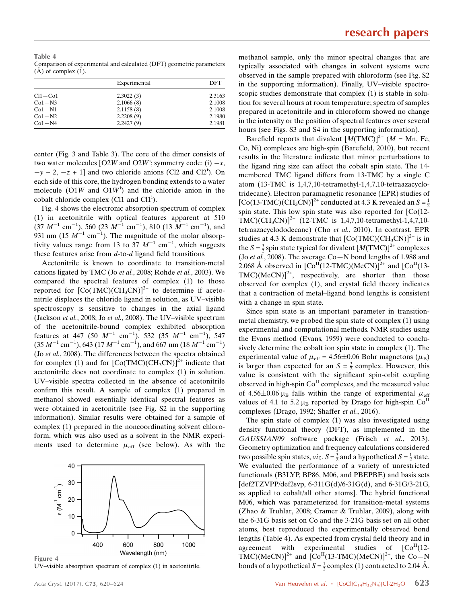Table 4 Comparison of experimental and calculated (DFT) geometric parameters  $(A)$  of complex  $(1)$ .

|             | Experimental | DFT    |
|-------------|--------------|--------|
| $Cl1 - Co1$ | 2.3022(3)    | 2.3163 |
| $Co1-N3$    | 2.1066(8)    | 2.1008 |
| $Co1-N1$    | 2.1158(8)    | 2.1008 |
| $Co1-N2$    | 2.2208(9)    | 2.1980 |
| $Co1-N4$    | 2.2427(9)    | 2.1981 |

center (Fig. 3 and Table 3). The core of the dimer consists of two water molecules [O2W and O2W<sup>i</sup>; symmetry code: (i)  $-x$ ,  $-y + 2$ ,  $-z + 1$ ] and two chloride anions (Cl2 and Cl2<sup>i</sup>). On each side of this core, the hydrogen bonding extends to a water molecule  $(O1W)$  and  $O1W<sup>i</sup>$  and the chloride anion in the cobalt chloride complex (Cl1 and  $Cl1<sup>i</sup>$ ).

Fig. 4 shows the electronic absorption spectrum of complex (1) in acetonitrile with optical features apparent at 510  $(37 \text{ M}^{-1} \text{ cm}^{-1})$ , 560  $(23 \text{ M}^{-1} \text{ cm}^{-1})$ , 810  $(13 \text{ M}^{-1} \text{ cm}^{-1})$ , and 931 nm (15  $M^{-1}$  cm<sup>-1</sup>). The magnitude of the molar absorptivity values range from 13 to 37  $M^{-1}$  cm<sup>-1</sup>, which suggests these features arise from d-to-d ligand field transitions.

Acetonitrile is known to coordinate to transition-metal cations ligated by TMC (Jo et al., 2008; Rohde et al., 2003). We compared the spectral features of complex (1) to those reported for  $[Co(TMC)(CH_3CN)]^{2+}$  to determine if acetonitrile displaces the chloride ligand in solution, as UV–visible spectroscopy is sensitive to changes in the axial ligand (Jackson et al., 2008; Jo et al., 2008). The UV–visible spectrum of the acetonitrile-bound complex exhibited absorption features at 447 (50  $M^{-1}$  cm<sup>-1</sup>), 532 (35  $M^{-1}$  cm<sup>-1</sup>), 547  $(35 M^{-1} \text{ cm}^{-1}), 643 (17 M^{-1} \text{ cm}^{-1}), \text{ and } 667 \text{ nm} (18 M^{-1} \text{ cm}^{-1})$ (Jo et al., 2008). The differences between the spectra obtained for complex (1) and for  $[Co(TMC)(CH_3CN)]^{2+}$  indicate that acetonitrile does not coordinate to complex (1) in solution. UV–visible spectra collected in the absence of acetonitrile confirm this result. A sample of complex (1) prepared in methanol showed essentially identical spectral features as were obtained in acetonitrile (see Fig. S2 in the supporting information). Similar results were obtained for a sample of complex (1) prepared in the noncoordinating solvent chloroform, which was also used as a solvent in the NMR experiments used to determine  $\mu_{\text{eff}}$  (see below). As with the



UV–visible absorption spectrum of complex (1) in acetonitrile.

methanol sample, only the minor spectral changes that are typically associated with changes in solvent systems were observed in the sample prepared with chloroform (see Fig. S2 in the supporting information). Finally, UV–visible spectroscopic studies demonstrate that complex (1) is stable in solution for several hours at room temperature; spectra of samples prepared in acetonitrile and in chloroform showed no change in the intensity or the position of spectral features over several hours (see Figs. S3 and S4 in the supporting information).

Barefield reports that divalent  $[M(TMC)]^{2+}$  (*M* = Mn, Fe, Co, Ni) complexes are high-spin (Barefield, 2010), but recent results in the literature indicate that minor perturbations to the ligand ring size can affect the cobalt spin state. The 14 membered TMC ligand differs from 13-TMC by a single C atom (13-TMC is 1,4,7,10-tetramethyl-1,4,7,10-tetraazacyclotridecane). Electron paramagnetic resonance (EPR) studies of [Co(13-TMC)(CH<sub>3</sub>CN)]<sup>2+</sup> conducted at 4.3 K revealed an  $S = \frac{1}{2}$ spin state. This low spin state was also reported for [Co(12- TMC)(CH<sub>3</sub>CN)]<sup>2+</sup> (12-TMC is 1,4,7,10-tetramethyl-1,4,7,10tetraazacyclododecane) (Cho et al., 2010). In contrast, EPR studies at 4.3 K demonstrate that  $[Co(TMC)(CH_3CN)]^{2+}$  is in the  $S = \frac{3}{2}$  spin state typical for divalent  $[M(TMC)]^{2+}$  complexes (Jo et al., 2008). The average Co-N bond lengths of 1.988 and 2.068 Å observed in  $[Co<sup>H</sup>(12-TMC)(MeCN)]^{2+}$  and  $[Co<sup>H</sup>(13 TMC)(MeCN)<sup>2+</sup>$ , respectively, are shorter than those observed for complex (1), and crystal field theory indicates that a contraction of metal–ligand bond lengths is consistent with a change in spin state.

Since spin state is an important parameter in transitionmetal chemistry, we probed the spin state of complex (1) using experimental and computational methods. NMR studies using the Evans method (Evans, 1959) were conducted to conclusively determine the cobalt ion spin state in complex (1). The experimental value of  $\mu_{\text{eff}} = 4.56 \pm 0.06$  Bohr magnetons ( $\mu_B$ ) is larger than expected for an  $S = \frac{3}{2}$  complex. However, this value is consistent with the significant spin-orbit coupling observed in high-spin  $Co<sup>H</sup>$  complexes, and the measured value of 4.56 $\pm$ 0.06  $\mu_B$  falls within the range of experimental  $\mu_{\text{eff}}$ values of 4.1 to 5.2  $\mu$ B reported by Drago for high-spin Co<sup>II</sup> complexes (Drago, 1992; Shaffer et al., 2016).

The spin state of complex (1) was also investigated using density functional theory (DFT), as implemented in the GAUSSIAN09 software package (Frisch et al., 2013). Geometry optimization and frequency calculations considered two possible spin states, *viz*.  $S = \frac{3}{2}$  and a hypothetical  $S = \frac{1}{2}$  state. We evaluated the performance of a variety of unrestricted functionals (B3LYP, BP86, M06, and PBEPBE) and basis sets [def2TZVPP/def2svp, 6-311G(d)/6-31G(d), and 6-31G/3-21G, as applied to cobalt/all other atoms]. The hybrid functional M06, which was parameterized for transition-metal systems (Zhao & Truhlar, 2008; Cramer & Truhlar, 2009), along with the 6-31G basis set on Co and the 3-21G basis set on all other atoms, best reproduced the experimentally observed bond lengths (Table 4). As expected from crystal field theory and in agreement with experimental studies of  $[Co<sup>H</sup>(12-$ TMC)(MeCN)]<sup>2+</sup> and [Co<sup>II</sup>(13-TMC)(MeCN)]<sup>2+</sup>, the Co-N bonds of a hypothetical  $S = \frac{1}{2}$  complex (1) contracted to 2.04 Å.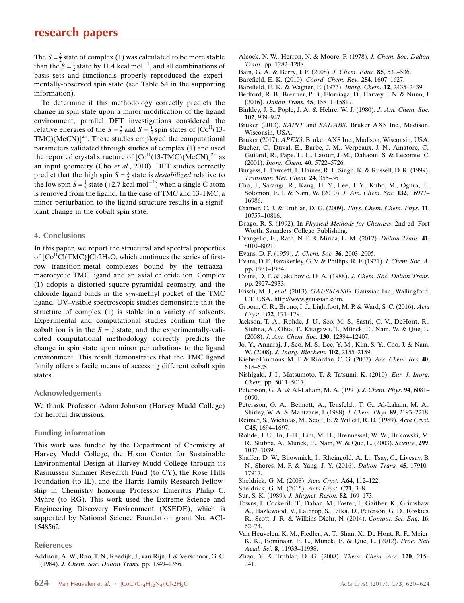The  $S = \frac{3}{2}$  state of complex (1) was calculated to be more stable than the  $S = \frac{1}{2}$  state by 11.4 kcal mol<sup>-1</sup>, and all combinations of basis sets and functionals properly reproduced the experimentally-observed spin state (see Table S4 in the supporting information).

To determine if this methodology correctly predicts the change in spin state upon a minor modification of the ligand environment, parallel DFT investigations considered the relative energies of the  $S = \frac{3}{2}$  and  $S = \frac{1}{2}$  spin states of [Co<sup>II</sup>(13- $TMC)(MeCN)<sup>2+</sup>$ . These studies employed the computational parameters validated through studies of complex (1) and used the reported crystal structure of  $[Co<sup>H</sup>(13-TMC)(MeCN)]^{2+}$  as an input geometry (Cho et al., 2010). DFT studies correctly predict that the high spin  $S = \frac{3}{2}$  state is *destabilized* relative to the low spin  $S = \frac{1}{2}$  state (+2.7 kcal mol<sup>-1</sup>) when a single C atom is removed from the ligand. In the case of TMC and 13-TMC, a minor perturbation to the ligand structure results in a significant change in the cobalt spin state.

#### 4. Conclusions

In this paper, we report the structural and spectral properties of  $\text{[Co}^{\text{II}}\text{Cl}(\text{TMC})\text{]}$ Cl $\cdot$ 2H<sub>2</sub>O, which continues the series of firstrow transition-metal complexes bound by the tetraazamacrocyclic TMC ligand and an axial chloride ion. Complex (1) adopts a distorted square-pyramidal geometry, and the chloride ligand binds in the syn-methyl pocket of the TMC ligand. UV–visible spectroscopic studies demonstrate that the structure of complex (1) is stable in a variety of solvents. Experimental and computational studies confirm that the cobalt ion is in the  $S = \frac{3}{2}$  state, and the experimentally-validated computational methodology correctly predicts the change in spin state upon minor perturbations to the ligand environment. This result demonstrates that the TMC ligand family offers a facile means of accessing different cobalt spin states.

#### Acknowledgements

We thank Professor Adam Johnson (Harvey Mudd College) for helpful discussions.

#### Funding information

This work was funded by the Department of Chemistry at Harvey Mudd College, the Hixon Center for Sustainable Environmental Design at Harvey Mudd College through its Rasmussen Summer Research Fund (to CY), the Rose Hills Foundation (to IL), and the Harris Family Research Fellowship in Chemistry honoring Professor Emeritus Philip C. Myhre (to RG). This work used the Extreme Science and Engineering Discovery Environment (XSEDE), which is supported by National Science Foundation grant No. ACI-1548562.

#### References

[Addison, A. W., Rao, T. N., Reedijk, J., van Rijn, J. & Verschoor, G. C.](http://scripts.iucr.org/cgi-bin/cr.cgi?rm=pdfbb&cnor=yp3138&bbid=BB1) (1984). [J. Chem. Soc. Dalton Trans.](http://scripts.iucr.org/cgi-bin/cr.cgi?rm=pdfbb&cnor=yp3138&bbid=BB1) pp. 1349–1356.

- [Alcock, N. W., Herron, N. & Moore, P. \(1978\).](http://scripts.iucr.org/cgi-bin/cr.cgi?rm=pdfbb&cnor=yp3138&bbid=BB2) J. Chem. Soc. Dalton Trans. [pp. 1282–1288.](http://scripts.iucr.org/cgi-bin/cr.cgi?rm=pdfbb&cnor=yp3138&bbid=BB2)
- [Bain, G. A. & Berry, J. F. \(2008\).](http://scripts.iucr.org/cgi-bin/cr.cgi?rm=pdfbb&cnor=yp3138&bbid=BB3) J. Chem. Educ. 85, 532-536.
- [Barefield, E. K. \(2010\).](http://scripts.iucr.org/cgi-bin/cr.cgi?rm=pdfbb&cnor=yp3138&bbid=BB4) Coord. Chem. Rev. 254, 1607–1627.
- [Barefield, E. K. & Wagner, F. \(1973\).](http://scripts.iucr.org/cgi-bin/cr.cgi?rm=pdfbb&cnor=yp3138&bbid=BB5) Inorg. Chem. 12, 2435–2439.
- [Bedford, R. B., Brenner, P. B., Elorriaga, D., Harvey, J. N. & Nunn, J.](http://scripts.iucr.org/cgi-bin/cr.cgi?rm=pdfbb&cnor=yp3138&bbid=BB6) (2016). Dalton Trans. 45[, 15811–15817.](http://scripts.iucr.org/cgi-bin/cr.cgi?rm=pdfbb&cnor=yp3138&bbid=BB6)
- [Binkley, J. S., Pople, J. A. & Hehre, W. J. \(1980\).](http://scripts.iucr.org/cgi-bin/cr.cgi?rm=pdfbb&cnor=yp3138&bbid=BB7) J. Am. Chem. Soc. 102[, 939–947.](http://scripts.iucr.org/cgi-bin/cr.cgi?rm=pdfbb&cnor=yp3138&bbid=BB7)
- Bruker (2013). SAINT and SADABS[. Bruker AXS Inc., Madison,](http://scripts.iucr.org/cgi-bin/cr.cgi?rm=pdfbb&cnor=yp3138&bbid=BB8) [Wisconsin, USA.](http://scripts.iucr.org/cgi-bin/cr.cgi?rm=pdfbb&cnor=yp3138&bbid=BB8)
- Bruker (2017). APEX3[. Bruker AXS Inc., Madison, Wisconsin, USA.](http://scripts.iucr.org/cgi-bin/cr.cgi?rm=pdfbb&cnor=yp3138&bbid=BB9)
- [Bucher, C., Duval, E., Barbe, J. M., Verpeaux, J. N., Amatore, C.,](http://scripts.iucr.org/cgi-bin/cr.cgi?rm=pdfbb&cnor=yp3138&bbid=BB10) [Guilard, R., Pape, L. L., Latour, J.-M., Dahaoui, S. & Lecomte, C.](http://scripts.iucr.org/cgi-bin/cr.cgi?rm=pdfbb&cnor=yp3138&bbid=BB10) (2001). [Inorg. Chem.](http://scripts.iucr.org/cgi-bin/cr.cgi?rm=pdfbb&cnor=yp3138&bbid=BB10) 40, 5722–5726.
- [Burgess, J., Fawcett, J., Haines, R. I., Singh, K. & Russell, D. R. \(1999\).](http://scripts.iucr.org/cgi-bin/cr.cgi?rm=pdfbb&cnor=yp3138&bbid=BB11) [Transition Met. Chem.](http://scripts.iucr.org/cgi-bin/cr.cgi?rm=pdfbb&cnor=yp3138&bbid=BB11) 24, 355–361.
- [Cho, J., Sarangi, R., Kang, H. Y., Lee, J. Y., Kubo, M., Ogura, T.,](http://scripts.iucr.org/cgi-bin/cr.cgi?rm=pdfbb&cnor=yp3138&bbid=BB12) [Solomon, E. I. & Nam, W. \(2010\).](http://scripts.iucr.org/cgi-bin/cr.cgi?rm=pdfbb&cnor=yp3138&bbid=BB12) J. Am. Chem. Soc. 132, 16977– [16986.](http://scripts.iucr.org/cgi-bin/cr.cgi?rm=pdfbb&cnor=yp3138&bbid=BB12)
- [Cramer, C. J. & Truhlar, D. G. \(2009\).](http://scripts.iucr.org/cgi-bin/cr.cgi?rm=pdfbb&cnor=yp3138&bbid=BB13) Phys. Chem. Chem. Phys. 11, [10757–10816.](http://scripts.iucr.org/cgi-bin/cr.cgi?rm=pdfbb&cnor=yp3138&bbid=BB13)
- Drago, R. S. (1992). In [Physical Methods for Chemists](http://scripts.iucr.org/cgi-bin/cr.cgi?rm=pdfbb&cnor=yp3138&bbid=BB14), 2nd ed. Fort [Worth: Saunders College Publishing.](http://scripts.iucr.org/cgi-bin/cr.cgi?rm=pdfbb&cnor=yp3138&bbid=BB14)
- [Evangelio, E., Rath, N. P. & Mirica, L. M. \(2012\).](http://scripts.iucr.org/cgi-bin/cr.cgi?rm=pdfbb&cnor=yp3138&bbid=BB15) Dalton Trans. 41, [8010–8021.](http://scripts.iucr.org/cgi-bin/cr.cgi?rm=pdfbb&cnor=yp3138&bbid=BB15)
- [Evans, D. F. \(1959\).](http://scripts.iucr.org/cgi-bin/cr.cgi?rm=pdfbb&cnor=yp3138&bbid=BB16) J. Chem. Soc. 36, 2003–2005.
- [Evans, D. F., Fazakerley, G. V. & Phillips, R. F. \(1971\).](http://scripts.iucr.org/cgi-bin/cr.cgi?rm=pdfbb&cnor=yp3138&bbid=BB17) J. Chem. Soc. A, [pp. 1931–1934.](http://scripts.iucr.org/cgi-bin/cr.cgi?rm=pdfbb&cnor=yp3138&bbid=BB17)
- [Evans, D. F. & Jakubovic, D. A. \(1988\).](http://scripts.iucr.org/cgi-bin/cr.cgi?rm=pdfbb&cnor=yp3138&bbid=BB18) J. Chem. Soc. Dalton Trans. [pp. 2927–2933.](http://scripts.iucr.org/cgi-bin/cr.cgi?rm=pdfbb&cnor=yp3138&bbid=BB18)
- Frisch, M. J., et al. (2013). GAUSSIAN09[. Gaussian Inc., Wallingford,](http://scripts.iucr.org/cgi-bin/cr.cgi?rm=pdfbb&cnor=yp3138&bbid=BB19) [CT, USA. http://www.gaussian.com.](http://scripts.iucr.org/cgi-bin/cr.cgi?rm=pdfbb&cnor=yp3138&bbid=BB19)
- [Groom, C. R., Bruno, I. J., Lightfoot, M. P. & Ward, S. C. \(2016\).](http://scripts.iucr.org/cgi-bin/cr.cgi?rm=pdfbb&cnor=yp3138&bbid=BB20) Acta Cryst. B72[, 171–179.](http://scripts.iucr.org/cgi-bin/cr.cgi?rm=pdfbb&cnor=yp3138&bbid=BB20)
- [Jackson, T. A., Rohde, J. U., Seo, M. S., Sastri, C. V., DeHont, R.,](http://scripts.iucr.org/cgi-bin/cr.cgi?rm=pdfbb&cnor=yp3138&bbid=BB21) Stubna, A., Ohta, T., Kitagawa, T., Münck, E., Nam, W. & Que, L. (2008). [J. Am. Chem. Soc.](http://scripts.iucr.org/cgi-bin/cr.cgi?rm=pdfbb&cnor=yp3138&bbid=BB21) 130, 12394–12407.
- [Jo, Y., Annaraj, J., Seo, M. S., Lee, Y.-M., Kim, S. Y., Cho, J. & Nam,](http://scripts.iucr.org/cgi-bin/cr.cgi?rm=pdfbb&cnor=yp3138&bbid=BB22) W. (2008). [J. Inorg. Biochem.](http://scripts.iucr.org/cgi-bin/cr.cgi?rm=pdfbb&cnor=yp3138&bbid=BB22) 102, 2155–2159.
- [Kieber-Emmons, M. T. & Riordan, C. G. \(2007\).](http://scripts.iucr.org/cgi-bin/cr.cgi?rm=pdfbb&cnor=yp3138&bbid=BB23) Acc. Chem. Res. 40, [618–625.](http://scripts.iucr.org/cgi-bin/cr.cgi?rm=pdfbb&cnor=yp3138&bbid=BB23)
- [Nishigaki, J.-I., Matsumoto, T. & Tatsumi, K. \(2010\).](http://scripts.iucr.org/cgi-bin/cr.cgi?rm=pdfbb&cnor=yp3138&bbid=BB25) Eur. J. Inorg. Chem. [pp. 5011–5017.](http://scripts.iucr.org/cgi-bin/cr.cgi?rm=pdfbb&cnor=yp3138&bbid=BB25)
- [Petersson, G. A. & Al-Laham, M. A. \(1991\).](http://scripts.iucr.org/cgi-bin/cr.cgi?rm=pdfbb&cnor=yp3138&bbid=BB26) J. Chem. Phys. 94, 6081– [6090.](http://scripts.iucr.org/cgi-bin/cr.cgi?rm=pdfbb&cnor=yp3138&bbid=BB26)
- [Petersson, G. A., Bennett, A., Tensfeldt, T. G., Al-Laham, M. A.,](http://scripts.iucr.org/cgi-bin/cr.cgi?rm=pdfbb&cnor=yp3138&bbid=BB27) [Shirley, W. A. & Mantzaris, J. \(1988\).](http://scripts.iucr.org/cgi-bin/cr.cgi?rm=pdfbb&cnor=yp3138&bbid=BB27) J. Chem. Phys. 89, 2193–2218.
- [Reimer, S., Wicholas, M., Scott, B. & Willett, R. D. \(1989\).](http://scripts.iucr.org/cgi-bin/cr.cgi?rm=pdfbb&cnor=yp3138&bbid=BB28) Acta Cryst. C45[, 1694–1697.](http://scripts.iucr.org/cgi-bin/cr.cgi?rm=pdfbb&cnor=yp3138&bbid=BB28)
- [Rohde, J. U., In, J.-H., Lim, M. H., Brennessel, W. W., Bukowski, M.](http://scripts.iucr.org/cgi-bin/cr.cgi?rm=pdfbb&cnor=yp3138&bbid=BB29) [R., Stubna, A., Munck, E., Nam, W. & Que, L. \(2003\).](http://scripts.iucr.org/cgi-bin/cr.cgi?rm=pdfbb&cnor=yp3138&bbid=BB29) Science, 299, [1037–1039.](http://scripts.iucr.org/cgi-bin/cr.cgi?rm=pdfbb&cnor=yp3138&bbid=BB29)
- [Shaffer, D. W., Bhowmick, I., Rheingold, A. L., Tsay, C., Livesay, B.](http://scripts.iucr.org/cgi-bin/cr.cgi?rm=pdfbb&cnor=yp3138&bbid=BB30) [N., Shores, M. P. & Yang, J. Y. \(2016\).](http://scripts.iucr.org/cgi-bin/cr.cgi?rm=pdfbb&cnor=yp3138&bbid=BB30) Dalton Trans. 45, 17910– [17917.](http://scripts.iucr.org/cgi-bin/cr.cgi?rm=pdfbb&cnor=yp3138&bbid=BB30)
- [Sheldrick, G. M. \(2008\).](http://scripts.iucr.org/cgi-bin/cr.cgi?rm=pdfbb&cnor=yp3138&bbid=BB31) Acta Cryst. A64, 112–122.
- [Sheldrick, G. M. \(2015\).](http://scripts.iucr.org/cgi-bin/cr.cgi?rm=pdfbb&cnor=yp3138&bbid=BB32) Acta Cryst. C71, 3–8.
- Sur, S. K. (1989). [J. Magnet. Reson.](http://scripts.iucr.org/cgi-bin/cr.cgi?rm=pdfbb&cnor=yp3138&bbid=BB33) 82, 169–173.
- [Towns, J., Cockerill, T., Dahan, M., Foster, I., Gaither, K., Grimshaw,](http://scripts.iucr.org/cgi-bin/cr.cgi?rm=pdfbb&cnor=yp3138&bbid=BB34) [A., Hazlewood, V., Lathrop, S., Lifka, D., Peterson, G. D., Roskies,](http://scripts.iucr.org/cgi-bin/cr.cgi?rm=pdfbb&cnor=yp3138&bbid=BB34) [R., Scott, J. R. & Wilkins-Diehr, N. \(2014\).](http://scripts.iucr.org/cgi-bin/cr.cgi?rm=pdfbb&cnor=yp3138&bbid=BB34) Comput. Sci. Eng. 16, [62–74.](http://scripts.iucr.org/cgi-bin/cr.cgi?rm=pdfbb&cnor=yp3138&bbid=BB34)
- [Van Heuvelen, K. M., Fiedler, A. T., Shan, X., De Hont, R. F., Meier,](http://scripts.iucr.org/cgi-bin/cr.cgi?rm=pdfbb&cnor=yp3138&bbid=BB35) [K. K., Bominaar, E. L., Munck, E. & Que, L. \(2012\).](http://scripts.iucr.org/cgi-bin/cr.cgi?rm=pdfbb&cnor=yp3138&bbid=BB35) Proc. Natl Acad. Sci. 8[, 11933–11938.](http://scripts.iucr.org/cgi-bin/cr.cgi?rm=pdfbb&cnor=yp3138&bbid=BB35)
- [Zhao, Y. & Truhlar, D. G. \(2008\).](http://scripts.iucr.org/cgi-bin/cr.cgi?rm=pdfbb&cnor=yp3138&bbid=BB36) Theor. Chem. Acc. 120, 215– [241.](http://scripts.iucr.org/cgi-bin/cr.cgi?rm=pdfbb&cnor=yp3138&bbid=BB36)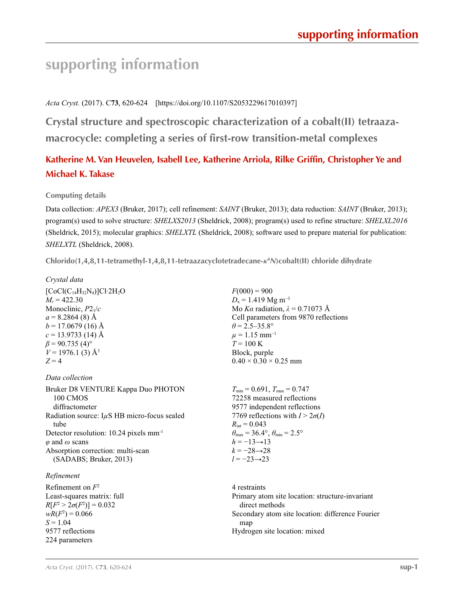# **supporting information**

*Acta Cryst.* (2017). C**73**, 620-624 [https://doi.org/10.1107/S2053229617010397]

**Crystal structure and spectroscopic characterization of a cobalt(II) tetraazamacrocycle: completing a series of first-row transition-metal complexes**

# **Katherine M. Van Heuvelen, Isabell Lee, Katherine Arriola, Rilke Griffin, Christopher Ye and Michael K. Takase**

# **Computing details**

Data collection: *APEX3* (Bruker, 2017); cell refinement: *SAINT* (Bruker, 2013); data reduction: *SAINT* (Bruker, 2013); program(s) used to solve structure: *SHELXS2013* (Sheldrick, 2008); program(s) used to refine structure: *SHELXL2016* (Sheldrick, 2015); molecular graphics: *SHELXTL* (Sheldrick, 2008); software used to prepare material for publication: *SHELXTL* (Sheldrick, 2008).

**Chlorido(1,4,8,11-tetramethyl-1,4,8,11-tetraazacyclotetradecane-***κ***<sup>4</sup>** *N***)cobalt(II) chloride dihydrate** 

### *Crystal data*

 $[CoCl(C_{14}H_{32}N_4)]Cl·2H_2O$  $M_r = 422.30$ Monoclinic, *P*21/*c*  $a = 8.2864(8)$  Å  $b = 17.0679(16)$  Å  $c = 13.9733(14)$  Å  $\beta$  = 90.735 (4)<sup>o</sup>  $V = 1976.1$  (3)  $\AA^3$  $Z = 4$ 

*Data collection*

Bruker D8 VENTURE Kappa Duo PHOTON 100 CMOS diffractometer Radiation source: I*µ*S HB micro-focus sealed tube Detector resolution: 10.24 pixels mm-1 *φ* and *ω* scans Absorption correction: multi-scan (SADABS; Bruker, 2013)

## *Refinement*

Refinement on *F*<sup>2</sup> Least-squares matrix: full  $R[F^2 > 2\sigma(F^2)] = 0.032$  $wR(F^2) = 0.066$  $S = 1.04$ 9577 reflections 224 parameters

 $F(000) = 900$  $D_x = 1.419$  Mg m<sup>-3</sup> Mo *Kα* radiation,  $\lambda = 0.71073$  Å Cell parameters from 9870 reflections  $\theta$  = 2.5–35.8°  $\mu$  = 1.15 mm<sup>-1</sup>  $T = 100 \text{ K}$ Block, purple  $0.40 \times 0.30 \times 0.25$  mm

 $T_{\text{min}} = 0.691$ ,  $T_{\text{max}} = 0.747$ 72258 measured reflections 9577 independent reflections 7769 reflections with  $I > 2\sigma(I)$  $R_{\text{int}} = 0.043$  $\theta_{\text{max}} = 36.4^{\circ}, \theta_{\text{min}} = 2.5^{\circ}$  $h = -13 \rightarrow 13$  $k = -28 \rightarrow 28$ *l* = −23→23

4 restraints Primary atom site location: structure-invariant direct methods Secondary atom site location: difference Fourier map Hydrogen site location: mixed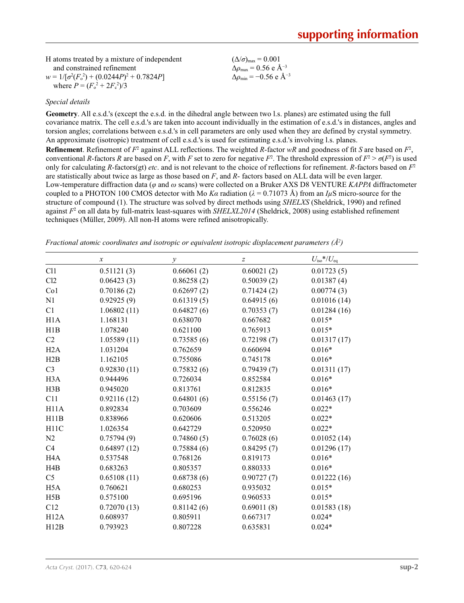| H atoms treated by a mixture of independent       | $(\Delta/\sigma)_{\text{max}} = 0.001$           |
|---------------------------------------------------|--------------------------------------------------|
| and constrained refinement                        | $\Delta\rho_{\rm max} = 0.56$ e $\rm \AA^{-3}$   |
| $w = 1/[\sigma^2(F_0^2) + (0.0244P)^2 + 0.7824P]$ | $\Delta\rho_{\rm min} = -0.56$ e Å <sup>-3</sup> |
| where $P = (F_0^2 + 2F_c^2)/3$                    |                                                  |

### *Special details*

**Geometry**. All e.s.d.'s (except the e.s.d. in the dihedral angle between two l.s. planes) are estimated using the full covariance matrix. The cell e.s.d.'s are taken into account individually in the estimation of e.s.d.'s in distances, angles and torsion angles; correlations between e.s.d.'s in cell parameters are only used when they are defined by crystal symmetry. An approximate (isotropic) treatment of cell e.s.d.'s is used for estimating e.s.d.'s involving l.s. planes. **Refinement**. Refinement of  $F^2$  against ALL reflections. The weighted *R*-factor  $wR$  and goodness of fit *S* are based on  $F^2$ , conventional *R*-factors *R* are based on *F*, with *F* set to zero for negative  $F^2$ . The threshold expression of  $F^2 > \sigma(F^2)$  is used only for calculating *R*-factors(gt) *etc*. and is not relevant to the choice of reflections for refinement. *R*-factors based on *F*<sup>2</sup> are statistically about twice as large as those based on *F*, and *R*- factors based on ALL data will be even larger. Low-temperature diffraction data (*φ* and *ω* scans) were collected on a Bruker AXS D8 VENTURE *KAPPA* diffractometer coupled to a PHOTON 100 CMOS detector with Mo  $K\alpha$  radiation ( $\lambda = 0.71073$  Å) from an *I<sub>µ</sub>S* micro-source for the

structure of compound (1). The structure was solved by direct methods using *SHELXS* (Sheldrick, 1990) and refined against  $F<sup>2</sup>$  on all data by full-matrix least-squares with *SHELXL2014* (Sheldrick, 2008) using established refinement techniques (Müller, 2009). All non-H atoms were refined anisotropically.

|                  | $\boldsymbol{x}$ | у          | $\boldsymbol{Z}$ | $U_{\rm iso}$ */ $U_{\rm eq}$ |
|------------------|------------------|------------|------------------|-------------------------------|
| C11              | 0.51121(3)       | 0.66061(2) | 0.60021(2)       | 0.01723(5)                    |
| Cl2              | 0.06423(3)       | 0.86258(2) | 0.50039(2)       | 0.01387(4)                    |
| Co <sub>1</sub>  | 0.70186(2)       | 0.62697(2) | 0.71424(2)       | 0.00774(3)                    |
| N1               | 0.92925(9)       | 0.61319(5) | 0.64915(6)       | 0.01016(14)                   |
| C1               | 1.06802(11)      | 0.64827(6) | 0.70353(7)       | 0.01284(16)                   |
| H1A              | 1.168131         | 0.638070   | 0.667682         | $0.015*$                      |
| H1B              | 1.078240         | 0.621100   | 0.765913         | $0.015*$                      |
| C2               | 1.05589(11)      | 0.73585(6) | 0.72198(7)       | 0.01317(17)                   |
| H2A              | 1.031204         | 0.762659   | 0.660694         | $0.016*$                      |
| H2B              | 1.162105         | 0.755086   | 0.745178         | $0.016*$                      |
| C <sub>3</sub>   | 0.92830(11)      | 0.75832(6) | 0.79439(7)       | 0.01311(17)                   |
| H <sub>3</sub> A | 0.944496         | 0.726034   | 0.852584         | $0.016*$                      |
| H3B              | 0.945020         | 0.813761   | 0.812835         | $0.016*$                      |
| C11              | 0.92116(12)      | 0.64801(6) | 0.55156(7)       | 0.01463(17)                   |
| H11A             | 0.892834         | 0.703609   | 0.556246         | $0.022*$                      |
| H11B             | 0.838966         | 0.620606   | 0.513205         | $0.022*$                      |
| H11C             | 1.026354         | 0.642729   | 0.520950         | $0.022*$                      |
| N <sub>2</sub>   | 0.75794(9)       | 0.74860(5) | 0.76028(6)       | 0.01052(14)                   |
| C4               | 0.64897(12)      | 0.75884(6) | 0.84295(7)       | 0.01296(17)                   |
| H <sub>4</sub> A | 0.537548         | 0.768126   | 0.819173         | $0.016*$                      |
| H4B              | 0.683263         | 0.805357   | 0.880333         | $0.016*$                      |
| C <sub>5</sub>   | 0.65108(11)      | 0.68738(6) | 0.90727(7)       | 0.01222(16)                   |
| H <sub>5</sub> A | 0.760621         | 0.680253   | 0.935032         | $0.015*$                      |
| H5B              | 0.575100         | 0.695196   | 0.960533         | $0.015*$                      |
| C12              | 0.72070(13)      | 0.81142(6) | 0.69011(8)       | 0.01583(18)                   |
| H12A             | 0.608937         | 0.805911   | 0.667317         | $0.024*$                      |
| H12B             | 0.793923         | 0.807228   | 0.635831         | $0.024*$                      |

*Fractional atomic coordinates and isotropic or equivalent isotropic displacement parameters (Å<sup>2</sup>)*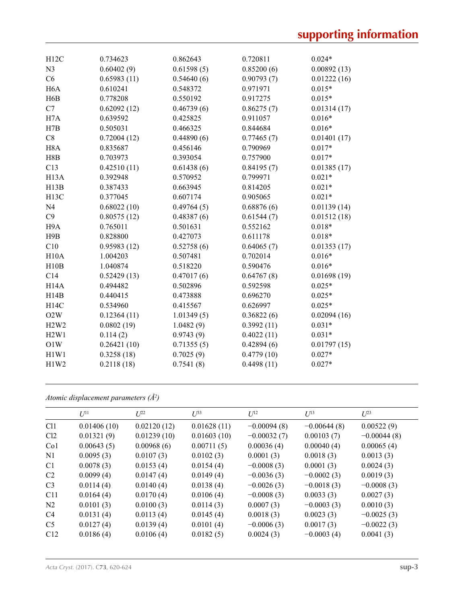| H12C                          | 0.734623    | 0.862643   | 0.720811   | $0.024*$    |
|-------------------------------|-------------|------------|------------|-------------|
| N <sub>3</sub>                | 0.60402(9)  | 0.61598(5) | 0.85200(6) | 0.00892(13) |
| C6                            | 0.65983(11) | 0.54640(6) | 0.90793(7) | 0.01222(16) |
| H <sub>6</sub> A              | 0.610241    | 0.548372   | 0.971971   | $0.015*$    |
| H <sub>6</sub> B              | 0.778208    | 0.550192   | 0.917275   | $0.015*$    |
| C7                            | 0.62092(12) | 0.46739(6) | 0.86275(7) | 0.01314(17) |
| H <sub>7</sub> A              | 0.639592    | 0.425825   | 0.911057   | $0.016*$    |
| H7B                           | 0.505031    | 0.466325   | 0.844684   | $0.016*$    |
| C8                            | 0.72004(12) | 0.44890(6) | 0.77465(7) | 0.01401(17) |
| H <sub>8</sub> A              | 0.835687    | 0.456146   | 0.790969   | $0.017*$    |
| H8B                           | 0.703973    | 0.393054   | 0.757900   | $0.017*$    |
| C13                           | 0.42510(11) | 0.61438(6) | 0.84195(7) | 0.01385(17) |
| H <sub>13</sub> A             | 0.392948    | 0.570952   | 0.799971   | $0.021*$    |
| H13B                          | 0.387433    | 0.663945   | 0.814205   | $0.021*$    |
| H <sub>13</sub> C             | 0.377045    | 0.607174   | 0.905065   | $0.021*$    |
| N <sub>4</sub>                | 0.68022(10) | 0.49764(5) | 0.68876(6) | 0.01139(14) |
| C9                            | 0.80575(12) | 0.48387(6) | 0.61544(7) | 0.01512(18) |
| H <sub>9</sub> A              | 0.765011    | 0.501631   | 0.552162   | $0.018*$    |
| H9B                           | 0.828800    | 0.427073   | 0.611178   | $0.018*$    |
| C10                           | 0.95983(12) | 0.52758(6) | 0.64065(7) | 0.01353(17) |
| H10A                          | 1.004203    | 0.507481   | 0.702014   | $0.016*$    |
| H10B                          | 1.040874    | 0.518220   | 0.590476   | $0.016*$    |
| C14                           | 0.52429(13) | 0.47017(6) | 0.64767(8) | 0.01698(19) |
| H <sub>14</sub> A             | 0.494482    | 0.502896   | 0.592598   | $0.025*$    |
| H14B                          | 0.440415    | 0.473888   | 0.696270   | $0.025*$    |
| H14C                          | 0.534960    | 0.415567   | 0.626997   | $0.025*$    |
| O2W                           | 0.12364(11) | 1.01349(5) | 0.36822(6) | 0.02094(16) |
| H <sub>2</sub> W <sub>2</sub> | 0.0802(19)  | 1.0482(9)  | 0.3992(11) | $0.031*$    |
| H2W1                          | 0.114(2)    | 0.9743(9)  | 0.4022(11) | $0.031*$    |
| O1W                           | 0.26421(10) | 0.71355(5) | 0.42894(6) | 0.01797(15) |
| H1W1                          | 0.3258(18)  | 0.7025(9)  | 0.4779(10) | $0.027*$    |
| H1W2                          | 0.2118(18)  | 0.7541(8)  | 0.4498(11) | $0.027*$    |
|                               |             |            |            |             |

*Atomic displacement parameters (Å2 )*

|                 | $U^{11}$    | $L^{22}$    | $\mathcal{I}^{\beta 3}$ | $U^{12}$      | $U^{13}$      | $L^{23}$      |
|-----------------|-------------|-------------|-------------------------|---------------|---------------|---------------|
| Cl1             | 0.01406(10) | 0.02120(12) | 0.01628(11)             | $-0.00094(8)$ | $-0.00644(8)$ | 0.00522(9)    |
| Cl <sub>2</sub> | 0.01321(9)  | 0.01239(10) | 0.01603(10)             | $-0.00032(7)$ | 0.00103(7)    | $-0.00044(8)$ |
| Co <sub>1</sub> | 0.00643(5)  | 0.00968(6)  | 0.00711(5)              | 0.00036(4)    | 0.00040(4)    | 0.00065(4)    |
| N1              | 0.0095(3)   | 0.0107(3)   | 0.0102(3)               | 0.0001(3)     | 0.0018(3)     | 0.0013(3)     |
| C <sub>1</sub>  | 0.0078(3)   | 0.0153(4)   | 0.0154(4)               | $-0.0008(3)$  | 0.0001(3)     | 0.0024(3)     |
| C <sub>2</sub>  | 0.0099(4)   | 0.0147(4)   | 0.0149(4)               | $-0.0036(3)$  | $-0.0002(3)$  | 0.0019(3)     |
| C <sub>3</sub>  | 0.0114(4)   | 0.0140(4)   | 0.0138(4)               | $-0.0026(3)$  | $-0.0018(3)$  | $-0.0008(3)$  |
| C <sub>11</sub> | 0.0164(4)   | 0.0170(4)   | 0.0106(4)               | $-0.0008(3)$  | 0.0033(3)     | 0.0027(3)     |
| N <sub>2</sub>  | 0.0101(3)   | 0.0100(3)   | 0.0114(3)               | 0.0007(3)     | $-0.0003(3)$  | 0.0010(3)     |
| C <sub>4</sub>  | 0.0131(4)   | 0.0113(4)   | 0.0145(4)               | 0.0018(3)     | 0.0023(3)     | $-0.0025(3)$  |
| C <sub>5</sub>  | 0.0127(4)   | 0.0139(4)   | 0.0101(4)               | $-0.0006(3)$  | 0.0017(3)     | $-0.0022(3)$  |
| C12             | 0.0186(4)   | 0.0106(4)   | 0.0182(5)               | 0.0024(3)     | $-0.0003(4)$  | 0.0041(3)     |
|                 |             |             |                         |               |               |               |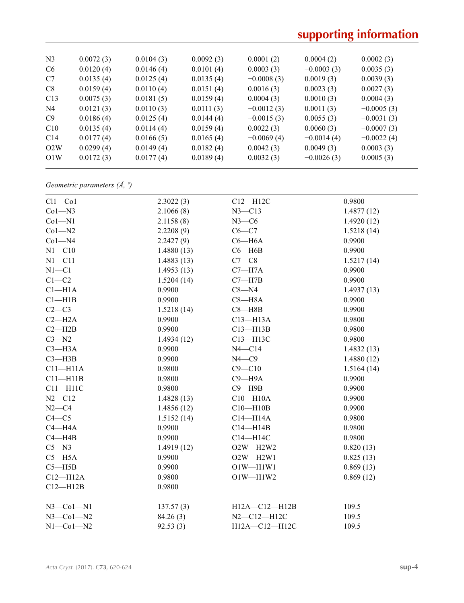# **supporting information**

| N <sub>3</sub>  | 0.0072(3) | 0.0104(3) | 0.0092(3) | 0.0001(2)    | 0.0004(2)    | 0.0002(3)    |
|-----------------|-----------|-----------|-----------|--------------|--------------|--------------|
| C <sub>6</sub>  | 0.0120(4) | 0.0146(4) | 0.0101(4) | 0.0003(3)    | $-0.0003(3)$ | 0.0035(3)    |
| C7              | 0.0135(4) | 0.0125(4) | 0.0135(4) | $-0.0008(3)$ | 0.0019(3)    | 0.0039(3)    |
| C8              | 0.0159(4) | 0.0110(4) | 0.0151(4) | 0.0016(3)    | 0.0023(3)    | 0.0027(3)    |
| C13             | 0.0075(3) | 0.0181(5) | 0.0159(4) | 0.0004(3)    | 0.0010(3)    | 0.0004(3)    |
| N <sub>4</sub>  | 0.0121(3) | 0.0110(3) | 0.0111(3) | $-0.0012(3)$ | 0.0011(3)    | $-0.0005(3)$ |
| C9              | 0.0186(4) | 0.0125(4) | 0.0144(4) | $-0.0015(3)$ | 0.0055(3)    | $-0.0031(3)$ |
| C10             | 0.0135(4) | 0.0114(4) | 0.0159(4) | 0.0022(3)    | 0.0060(3)    | $-0.0007(3)$ |
| C <sub>14</sub> | 0.0177(4) | 0.0166(5) | 0.0165(4) | $-0.0069(4)$ | $-0.0014(4)$ | $-0.0022(4)$ |
| O2W             | 0.0299(4) | 0.0149(4) | 0.0182(4) | 0.0042(3)    | 0.0049(3)    | 0.0003(3)    |
| O1W             | 0.0172(3) | 0.0177(4) | 0.0189(4) | 0.0032(3)    | $-0.0026(3)$ | 0.0005(3)    |
|                 |           |           |           |              |              |              |

*Geometric parameters (Å, º)*

| $Cl1-C01$        | 2.3022(3)  | $C12 - H12C$      | 0.9800     |
|------------------|------------|-------------------|------------|
| $Co1 - N3$       | 2.1066(8)  | $N3 - C13$        | 1.4877(12) |
| $Co1 - N1$       | 2.1158(8)  | $N3-C6$           | 1.4920(12) |
| $Co1 - N2$       | 2.2208(9)  | $C6 - C7$         | 1.5218(14) |
| $Co1 - N4$       | 2.2427(9)  | $C6 - H6A$        | 0.9900     |
| $N1 - C10$       | 1.4880(13) | $C6 - H6B$        | 0.9900     |
| $N1 - C11$       | 1.4883(13) | $C7-C8$           | 1.5217(14) |
| $N1 - C1$        | 1.4953(13) | $C7 - H7A$        | 0.9900     |
| $C1 - C2$        | 1.5204(14) | $C7 - H7B$        | 0.9900     |
| $Cl-H1A$         | 0.9900     | $C8 - N4$         | 1.4937(13) |
| Cl—H1B           | 0.9900     | $C8 - H8A$        | 0.9900     |
| $C2-C3$          | 1.5218(14) | $C8 - H8B$        | 0.9900     |
| $C2 - H2A$       | 0.9900     | $C13 - H13A$      | 0.9800     |
| $C2 - H2B$       | 0.9900     | $C13 - H13B$      | 0.9800     |
| $C3 - N2$        | 1.4934(12) | C13-H13C          | 0.9800     |
| $C3 - H3A$       | 0.9900     | $N4 - C14$        | 1.4832(13) |
| $C3 - H3B$       | 0.9900     | $N4 - C9$         | 1.4880(12) |
| $C11 - H11A$     | 0.9800     | $C9 - C10$        | 1.5164(14) |
| $C11 - H11B$     | 0.9800     | $C9 - H9A$        | 0.9900     |
| $C11 - H11C$     | 0.9800     | $C9 - H9B$        | 0.9900     |
| $N2 - C12$       | 1.4828(13) | $C10 - H10A$      | 0.9900     |
| $N2-C4$          | 1.4856(12) | $C10 - H10B$      | 0.9900     |
| $C4 - C5$        | 1.5152(14) | $C14 - H14A$      | 0.9800     |
| $C4 - H4A$       | 0.9900     | $C14 - H14B$      | 0.9800     |
| $C4 - H4B$       | 0.9900     | C14-H14C          | 0.9800     |
| $C5 - N3$        | 1.4919(12) | O2W-H2W2          | 0.820(13)  |
| $C5 - H5A$       | 0.9900     | $O2W - H2W1$      | 0.825(13)  |
| $C5 - H5B$       | 0.9900     | $O1W - H1W1$      | 0.869(13)  |
| $C12 - H12A$     | 0.9800     | $O1W - H1W2$      | 0.869(12)  |
| $C12 - H12B$     | 0.9800     |                   |            |
| $N3$ –Col–N1     | 137.57(3)  | H12A-C12-H12B     | 109.5      |
| $N3$ –Co $1$ –N2 | 84.26(3)   | $N2 - C12 - H12C$ | 109.5      |
| $N1-Co1-N2$      | 92.53(3)   | H12A-C12-H12C     | 109.5      |
|                  |            |                   |            |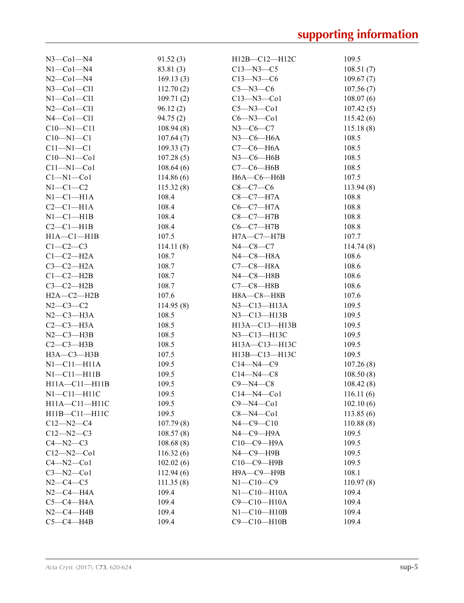| $N3$ —Co $1$ —N4     | 91.52(3)  | $H12B - C12 - H12C$                      | 109.5     |
|----------------------|-----------|------------------------------------------|-----------|
| $N1$ -Co $1$ -N4     | 83.81 (3) | $C13 - N3 - C5$                          | 108.51(7) |
| $N2$ –Co $1$ –N4     | 169.13(3) | $C13 - N3 - C6$                          | 109.67(7) |
| $N3$ –Col–Cl1        | 112.70(2) | $C5 - N3 - C6$                           | 107.56(7) |
| $N1$ -Co $1$ -Cl $1$ | 109.71(2) | $C13 - N3 - C01$                         | 108.07(6) |
| $N2$ –Co $1$ –Cl $1$ | 96.12(2)  | $C5 - N3 - C01$                          | 107.42(5) |
| $N4$ — $Co1$ — $Cl1$ | 94.75(2)  | $C6 - N3 - C01$                          | 115.42(6) |
| $C10 - N1 - C11$     | 108.94(8) | $N3$ —C6—C7                              | 115.18(8) |
| $C10 - N1 - C1$      | 107.64(7) | $N3$ — $C6$ — $H6A$                      | 108.5     |
| $C11 - N1 - C1$      | 109.33(7) | $C7-C6-H6A$                              | 108.5     |
| $C10 - N1 - Co1$     | 107.28(5) | $N3$ –C6–H6B                             | 108.5     |
| $C11 - N1 - Co1$     | 108.64(6) | $C7-C6$ —H6B                             | 108.5     |
| $Cl-M1-C01$          | 114.86(6) | $H6A - C6 - H6B$                         | 107.5     |
| $N1-C1-C2$           | 115.32(8) | $C8 - C7 - C6$                           | 113.94(8) |
| $N1-C1-H1A$          | 108.4     | $C8-C7-H7A$                              | 108.8     |
| $C2-C1-H1A$          | 108.4     | $C6-C7-H7A$                              | 108.8     |
| $N1-C1-H1B$          | 108.4     | $C8-C7-H7B$                              | 108.8     |
| $C2-C1-H1B$          | 108.4     | $C6-C7-H7B$                              | 108.8     |
| $H1A - C1 - H1B$     | 107.5     | $H7A-C7-H7B$                             | 107.7     |
| $C1-C2-C3$           | 114.11(8) | $N4 - C8 - C7$                           | 114.74(8) |
| $C1-C2-H2A$          | 108.7     | $N4$ — $C8$ — $H8A$                      | 108.6     |
| $C3-C2-H2A$          | 108.7     | $C7-C8-H8A$                              | 108.6     |
| $C1-C2-H2B$          | 108.7     | $N4$ — $C8$ — $H8B$                      | 108.6     |
| $C3-C2-H2B$          | 108.7     | $C7-C8$ —H8B                             | 108.6     |
| $H2A - C2 - H2B$     | 107.6     | $H8A - C8 - H8B$                         | 107.6     |
| $N2 - C3 - C2$       | 114.95(8) | $N3$ —C <sub>13</sub> —H <sub>13</sub> A | 109.5     |
| $N2-C3-H3A$          | 108.5     | N3-C13-H13B                              | 109.5     |
| $C2-C3-H3A$          | 108.5     | H13A-C13-H13B                            | 109.5     |
| $N2-C3-H3B$          | 108.5     | N3-C13-H13C                              | 109.5     |
| $C2-C3-H3B$          | 108.5     | H13A-C13-H13C                            | 109.5     |
| $H3A - C3 - H3B$     | 107.5     | H13B-C13-H13C                            | 109.5     |
| $N1 - C11 - H11A$    | 109.5     | $C14 - N4 - C9$                          | 107.26(8) |
| NI—C11—H11B          | 109.5     | $C14 - N4 - C8$                          | 108.50(8) |
| $H11A - C11 - H11B$  | 109.5     | $C9 - N4 - C8$                           | 108.42(8) |
| $N1-C11-H11C$        | 109.5     | $C14 - N4 - C01$                         | 116.11(6) |
| H11A-C11-H11C        | 109.5     | $C9 - N4 - C01$                          | 102.10(6) |
| H11B-C11-H11C        | 109.5     | $C8 - N4 - C01$                          | 113.85(6) |
| $C12 - N2 - C4$      | 107.79(8) | $N4 - C9 - C10$                          | 110.88(8) |
| $C12 - N2 - C3$      | 108.57(8) | $N4$ – $C9$ – $H9A$                      | 109.5     |
| $C4 - N2 - C3$       | 108.68(8) | $C10-C9-$ H9A                            | 109.5     |
| $C12 - N2 - C01$     | 116.32(6) | $N4$ — $C9$ — $H9B$                      | 109.5     |
| $C4 - N2 - C01$      | 102.02(6) | С10-С9-Н9В                               | 109.5     |
| $C3 - N2 - C01$      | 112.94(6) | Н9А-С9-Н9В                               | 108.1     |
| $N2 - C4 - C5$       | 111.35(8) | $N1 - C10 - C9$                          | 110.97(8) |
| $N2$ –C4–H4A         | 109.4     | $N1 - C10 - H10A$                        | 109.4     |
| $C5-C4-H4A$          | 109.4     | $C9-C10-H10A$                            | 109.4     |
| $N2-C4-H4B$          | 109.4     | $N1 - C10 - H10B$                        | 109.4     |
| $C5-C4-H4B$          | 109.4     | $C9-C10-H10B$                            | 109.4     |
|                      |           |                                          |           |